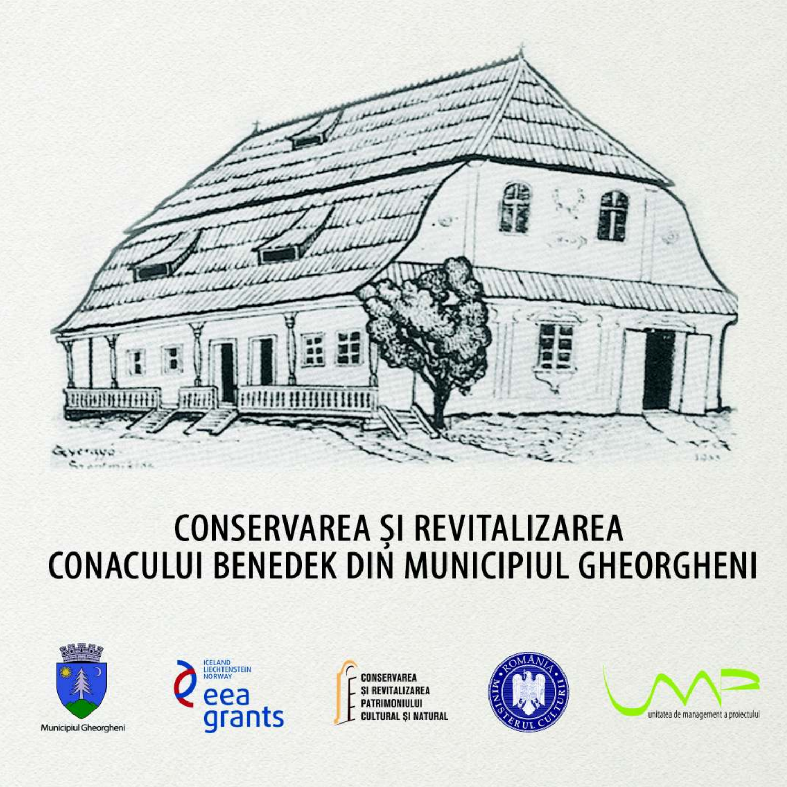

## CONSERVAREA ȘI REVITALIZAREA<br>CONACULUI BENEDEK DIN MUNICIPIUL GHEORGHENI





CONSERVAREA *SI REVITALIZAREA* PATRIMONIULUI **CULTURAL ȘI NATURAL** 



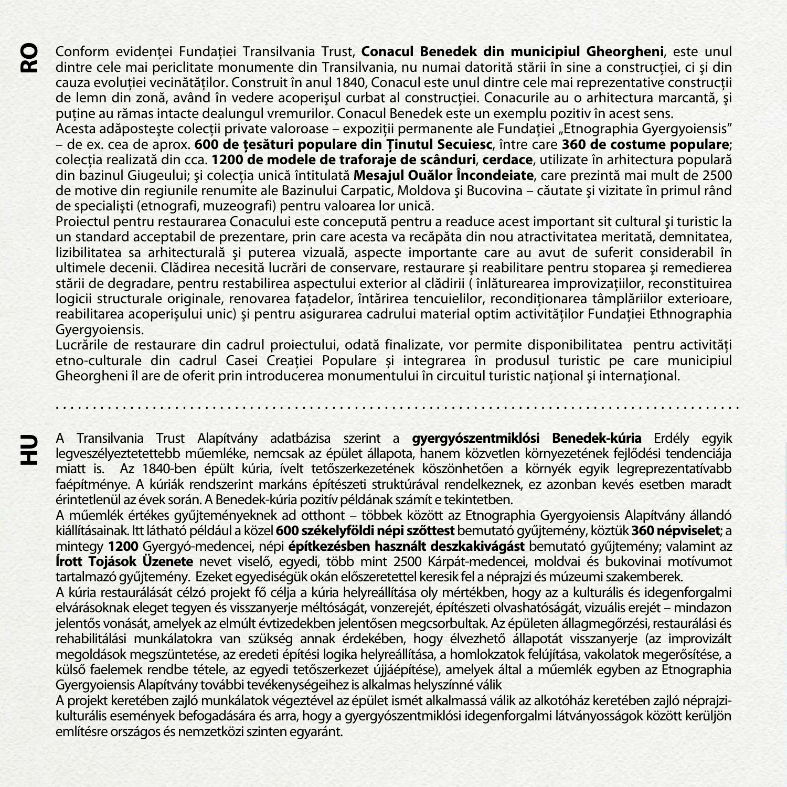Conform evidenţei Fundaţiei Transilvania Trust, **Conacul Benedek din municipiul Gheorgheni**, este unul **RO** dintre cele mai periclitate monumente din Transilvania, nu numai datorită stării în sine a construcției, ci și din cauza evolutiei vecinătăților. Construit în anul 1840, Conacul este unul dintre cele mai reprezentative construcții de lemn din zonă, având în vedere acoperișul curbat al construcției. Conacurile au o arhitectura marcantă, și putine au rămas intacte dealungul vremurilor. Conacul Benedek este un exemplu pozitiv în acest sens.

Acesta adăpostește colecții private valoroase – expoziții permanente ale Fundației "Etnographia Gyergyoiensis" – de ex. cea de aprox. **600 de ţesături populare din Ţinutul Secuiesc**, între care **360 de costume populare**; colecţia realizată din cca. **1200 de modele de traforaje de scânduri**, **cerdace**, utilizate în arhitectura populară din bazinul Giugeului; şi colecţia unică întitulată **Mesajul Ouălor Încondeiate**, care prezintă mai mult de 2500 de motive din regiunile renumite ale Bazinului Carpatic, Moldova şi Bucovina – căutate şi vizitate în primul rând de specialişti (etnografi, muzeografi) pentru valoarea lor unică.

Proiectul pentru restaurarea Conacului este concepută pentru a readuce acest important sit cultural şi turistic la un standard acceptabil de prezentare, prin care acesta va recăpăta din nou atractivitatea meritată, demnitatea, lizibilitatea sa arhitecturală și puterea vizuală, aspecte importante care au avut de suferit considerabil în ultimele decenii. Clădirea necesită lucrări de conservare, restaurare şi reabilitare pentru stoparea şi remedierea stării de degradare, pentru restabilirea aspectului exterior al clădirii ( înlăturearea improvizaţiilor, reconstituirea logicii structurale originale, renovarea fatadelor, întărirea tencuielilor, reconditionarea tâmplăriilor exterioare, reabilitarea acoperișului unic) și pentru asigurarea cadrului material optim activităților Fundației Ethnographia Gyergyoiensis.

Lucrările de restaurare din cadrul proiectului, odată finalizate, vor permite disponibilitatea pentru activități etno-culturale din cadrul Casei Creatiei Populare și integrarea în produsul turistic pe care municipiul Gheorgheni îl are de oferit prin introducerea monumentului în circuitul turistic national și international.

. . . . . . . . . . . . . . . . . . . . . . . . . . . . . . . . . . . . . . . . . . . . . . . . . . . . . . . . . . . . . . . . . . . . . . . . . . . . . . . . . . . . . . . . . . . .

A Transilvania Trust Alapítvány adatbázisa szerint a **gyergyószentmiklósi Benedek-kúria** Erdély egyik legveszélyeztetettebb műemléke, nemcsak az épület állapota, hanem közvetlen környezetének fejlődési tendenciája miatt is. Az 1840-ben épült kúria, ívelt tetőszerkezetének köszönhetően a környék egyik legreprezentatívabb faépítménye. A kúriák rendszerint markáns építészeti struktúrával rendelkeznek, ez azonban kevés esetben maradt érintetlenül az évek során. A Benedek-kúria pozitív példának számít e tekintetben.

**HU** 

A műemlék értékes gyűjteményeknek ad otthont – többek között az Etnographia Gyergyoiensis Alapítvány állandó kiállításainak. Itt látható például a közel **600 székelyföldi népi szőttest** bemutató gyűjtemény, köztük **360 népviselet**; a mintegy **1200** Gyergyó-medencei, népi **építkezésben használt deszkakivágást** bemutató gyűjtemény; valamint az **Írott Tojások Üzenete** nevet viselő, egyedi, több mint 2500 Kárpát-medencei, moldvai és bukovinai motívumot tartalmazó gyűjtemény. Ezeket egyediségük okán előszeretettel keresik fel a néprajzi és múzeumi szakemberek.

A kúria restaurálását célzó projekt fő célja a kúria helyreállítása oly mértékben, hogy az a kulturális és idegenforgalmi elvárásoknak eleget tegyen és visszanyerje méltóságát, vonzerejét, építészeti olvashatóságát, vizuális erejét – mindazon jelentős vonását, amelyek az elmúlt évtizedekben jelentősen megcsorbultak. Az épületen állagmegőrzési, restaurálási és rehabilitálási munkálatokra van szükség annak érdekében, hogy élvezhető állapotát visszanyerje (az improvizált megoldások megszüntetése, az eredeti építési logika helyreállítása, a homlokzatok felújítása, vakolatok megerősítése, a külső faelemek rendbe tétele, az egyedi tetőszerkezet újjáépítése), amelyek által a műemlék egyben az Etnographia Gyergyoiensis Alapítvány további tevékenységeihez is alkalmas helyszínné válik

A projekt keretében zajló munkálatok végeztével az épület ismét alkalmassá válik az alkotóház keretében zajló néprajzikulturális események befogadására és arra, hogy a gyergyószentmiklósi idegenforgalmi látványosságok között kerüljön említésre országos és nemzetközi szinten egyaránt.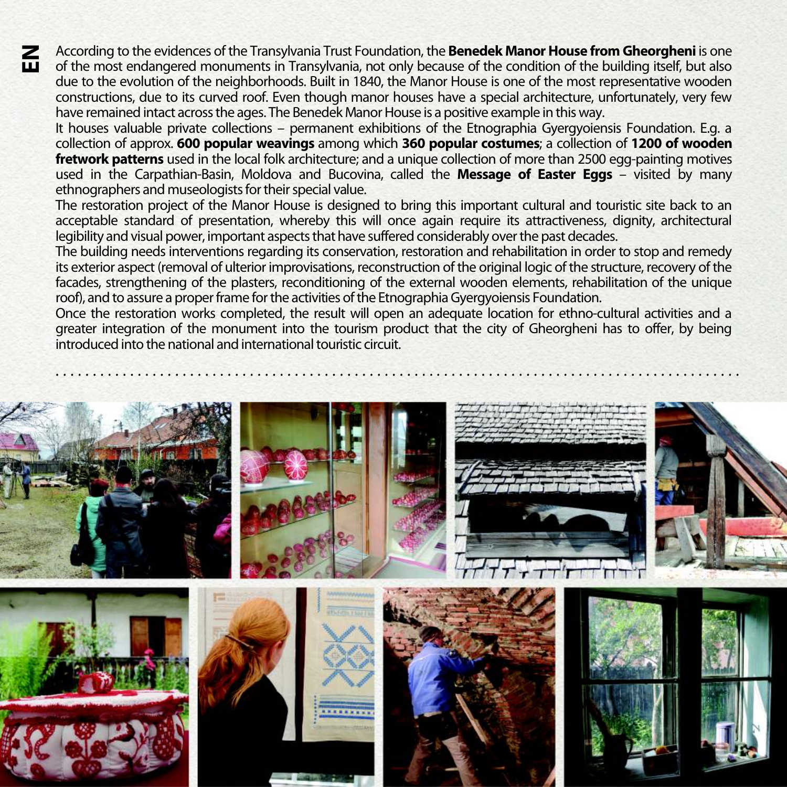According to the evidences of the Transylvania Trust Foundation, the **Benedek Manor House from Gheorgheni** is one of the most endangered monuments in Transylvania, not only because of the condition of the building itself, but also due to the evolution of the neighborhoods. Built in 1840, the Manor House is one of the most representative wooden constructions, due to its curved roof. Even though manor houses have a special architecture, unfortunately, very few have remained intact across the ages. The Benedek Manor House is a positive example in this way.

 $\mathbf{E}$ 

It houses valuable private collections – permanent exhibitions of the Etnographia Gyergyoiensis Foundation. E.g. a collection of approx. **600 popular weavings** among which **360 popular costumes**; a collection of **1200 of wooden fretwork patterns** used in the local folk architecture; and a unique collection of more than 2500 egg-painting motives used in the Carpathian-Basin, Moldova and Bucovina, called the **Message of Easter Eggs** – visited by many ethnographers and museologists for their special value.

The restoration project of the Manor House is designed to bring this important cultural and touristic site back to an acceptable standard of presentation, whereby this will once again require its attractiveness, dignity, architectural legibility and visual power, important aspects that have suffered considerably over the past decades.

The building needs interventions regarding its conservation, restoration and rehabilitation in order to stop and remedy its exterior aspect (removal of ulterior improvisations, reconstruction of the original logic of the structure, recovery of the facades, strengthening of the plasters, reconditioning of the external wooden elements, rehabilitation of the unique roof), and to assure a proper frame for the activities of the Etnographia Gyergyoiensis Foundation.

Once the restoration works completed, the result will open an adequate location for ethno-cultural activities and a greater integration of the monument into the tourism product that the city of Gheorgheni has to offer, by being introduced into the national and international touristic circuit.